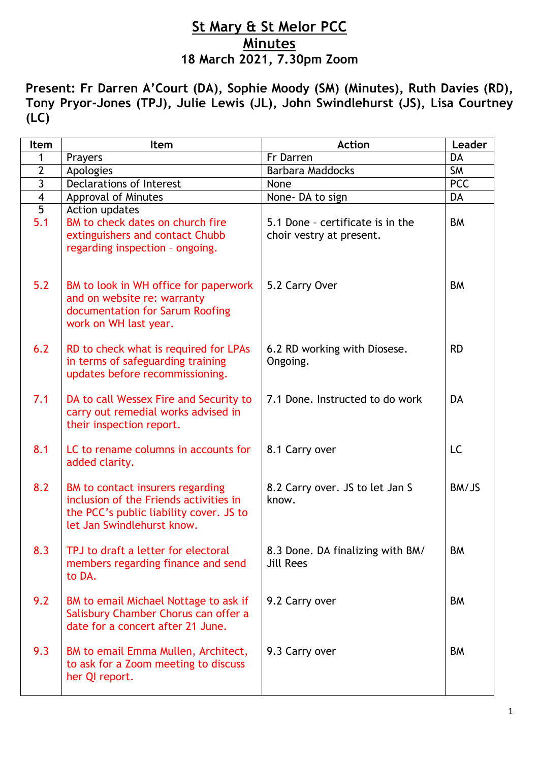## **St Mary & St Melor PCC Minutes 18 March 2021, 7.30pm Zoom**

**Present: Fr Darren A'Court (DA), Sophie Moody (SM) (Minutes), Ruth Davies (RD), Tony Pryor-Jones (TPJ), Julie Lewis (JL), John Swindlehurst (JS), Lisa Courtney (LC)**

| Item                  | Item                                                                                                                                                | <b>Action</b>                                                | Leader     |
|-----------------------|-----------------------------------------------------------------------------------------------------------------------------------------------------|--------------------------------------------------------------|------------|
| 1                     | Prayers                                                                                                                                             | Fr Darren                                                    | <b>DA</b>  |
| $\overline{2}$        | Apologies                                                                                                                                           | <b>Barbara Maddocks</b>                                      | <b>SM</b>  |
| $\overline{3}$        | <b>Declarations of Interest</b>                                                                                                                     | None                                                         | <b>PCC</b> |
| $\overline{4}$        | <b>Approval of Minutes</b>                                                                                                                          | None-DA to sign                                              | <b>DA</b>  |
| $\overline{5}$<br>5.1 | Action updates<br>BM to check dates on church fire<br>extinguishers and contact Chubb<br>regarding inspection - ongoing.                            | 5.1 Done - certificate is in the<br>choir vestry at present. | <b>BM</b>  |
| 5.2                   | BM to look in WH office for paperwork<br>and on website re: warranty<br>documentation for Sarum Roofing<br>work on WH last year.                    | 5.2 Carry Over                                               | <b>BM</b>  |
| 6.2                   | RD to check what is required for LPAs<br>in terms of safeguarding training<br>updates before recommissioning.                                       | 6.2 RD working with Diosese.<br>Ongoing.                     | <b>RD</b>  |
| 7.1                   | DA to call Wessex Fire and Security to<br>carry out remedial works advised in<br>their inspection report.                                           | 7.1 Done. Instructed to do work                              | DA         |
| 8.1                   | LC to rename columns in accounts for<br>added clarity.                                                                                              | 8.1 Carry over                                               | LC         |
| 8.2                   | BM to contact insurers regarding<br>inclusion of the Friends activities in<br>the PCC's public liability cover. JS to<br>let Jan Swindlehurst know. | 8.2 Carry over. JS to let Jan S<br>know.                     | BM/JS      |
| 8.3                   | TPJ to draft a letter for electoral<br>members regarding finance and send<br>to DA.                                                                 | 8.3 Done. DA finalizing with BM/<br><b>Jill Rees</b>         | <b>BM</b>  |
| 9.2                   | BM to email Michael Nottage to ask if<br>Salisbury Chamber Chorus can offer a<br>date for a concert after 21 June.                                  | 9.2 Carry over                                               | BM         |
| 9.3                   | BM to email Emma Mullen, Architect,<br>to ask for a Zoom meeting to discuss<br>her QI report.                                                       | 9.3 Carry over                                               | BM         |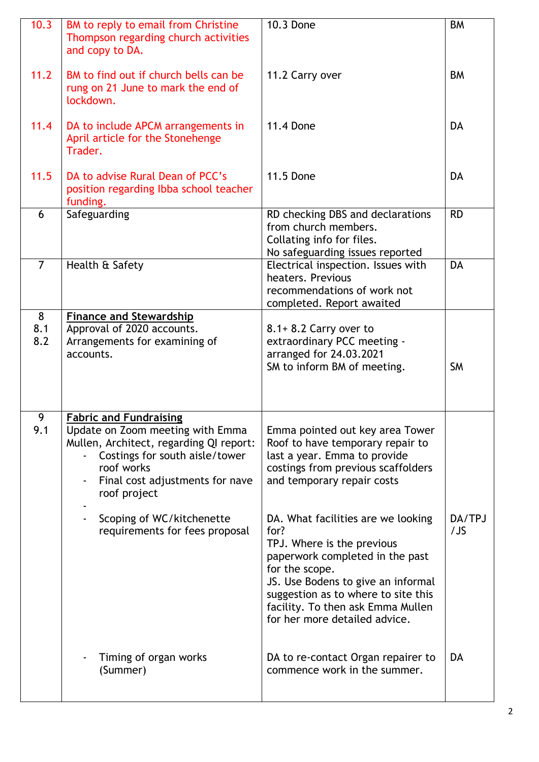| 10.3            | BM to reply to email from Christine<br>Thompson regarding church activities<br>and copy to DA.                                                                                                                                                                                 | 10.3 Done                                                                                                                                                                                                                                                                                                                                                                                                                                                   | <b>BM</b>     |
|-----------------|--------------------------------------------------------------------------------------------------------------------------------------------------------------------------------------------------------------------------------------------------------------------------------|-------------------------------------------------------------------------------------------------------------------------------------------------------------------------------------------------------------------------------------------------------------------------------------------------------------------------------------------------------------------------------------------------------------------------------------------------------------|---------------|
| 11.2            | BM to find out if church bells can be<br>rung on 21 June to mark the end of<br>lockdown.                                                                                                                                                                                       | 11.2 Carry over                                                                                                                                                                                                                                                                                                                                                                                                                                             | <b>BM</b>     |
| 11.4            | DA to include APCM arrangements in<br>April article for the Stonehenge<br>Trader.                                                                                                                                                                                              | <b>11.4 Done</b>                                                                                                                                                                                                                                                                                                                                                                                                                                            | DA            |
| 11.5            | DA to advise Rural Dean of PCC's<br>position regarding Ibba school teacher<br>funding.                                                                                                                                                                                         | <b>11.5 Done</b>                                                                                                                                                                                                                                                                                                                                                                                                                                            | <b>DA</b>     |
| 6               | Safeguarding                                                                                                                                                                                                                                                                   | RD checking DBS and declarations<br>from church members.<br>Collating info for files.<br>No safeguarding issues reported                                                                                                                                                                                                                                                                                                                                    | <b>RD</b>     |
| $\overline{7}$  | Health & Safety                                                                                                                                                                                                                                                                | Electrical inspection. Issues with<br>heaters, Previous<br>recommendations of work not<br>completed. Report awaited                                                                                                                                                                                                                                                                                                                                         | <b>DA</b>     |
| 8<br>8.1<br>8.2 | <b>Finance and Stewardship</b><br>Approval of 2020 accounts.<br>Arrangements for examining of<br>accounts.                                                                                                                                                                     | $8.1 + 8.2$ Carry over to<br>extraordinary PCC meeting -<br>arranged for 24.03.2021<br>SM to inform BM of meeting.                                                                                                                                                                                                                                                                                                                                          | <b>SM</b>     |
| 9<br>9.1        | <b>Fabric and Fundraising</b><br>Update on Zoom meeting with Emma<br>Mullen, Architect, regarding QI report:<br>Costings for south aisle/tower<br>roof works<br>Final cost adjustments for nave<br>roof project<br>Scoping of WC/kitchenette<br>requirements for fees proposal | Emma pointed out key area Tower<br>Roof to have temporary repair to<br>last a year. Emma to provide<br>costings from previous scaffolders<br>and temporary repair costs<br>DA. What facilities are we looking<br>for?<br>TPJ. Where is the previous<br>paperwork completed in the past<br>for the scope.<br>JS. Use Bodens to give an informal<br>suggestion as to where to site this<br>facility. To then ask Emma Mullen<br>for her more detailed advice. | DA/TPJ<br>/JS |
|                 | Timing of organ works<br>(Summer)                                                                                                                                                                                                                                              | DA to re-contact Organ repairer to<br>commence work in the summer.                                                                                                                                                                                                                                                                                                                                                                                          | DA            |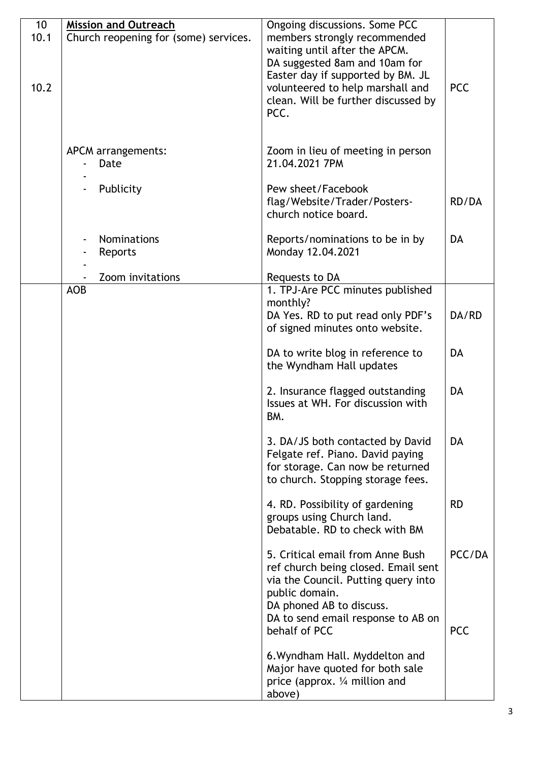| 10 <sup>°</sup> | <b>Mission and Outreach</b>           | Ongoing discussions. Some PCC                                                                                                                                                                                          |                      |
|-----------------|---------------------------------------|------------------------------------------------------------------------------------------------------------------------------------------------------------------------------------------------------------------------|----------------------|
| 10.1<br>10.2    | Church reopening for (some) services. | members strongly recommended<br>waiting until after the APCM.<br>DA suggested 8am and 10am for<br>Easter day if supported by BM. JL<br>volunteered to help marshall and<br>clean. Will be further discussed by<br>PCC. | <b>PCC</b>           |
|                 | APCM arrangements:<br>Date            | Zoom in lieu of meeting in person<br>21.04.2021 7PM                                                                                                                                                                    |                      |
|                 | Publicity                             | Pew sheet/Facebook<br>flag/Website/Trader/Posters-<br>church notice board.                                                                                                                                             | RD/DA                |
|                 | <b>Nominations</b><br>Reports         | Reports/nominations to be in by<br>Monday 12.04.2021                                                                                                                                                                   | <b>DA</b>            |
|                 | Zoom invitations                      | Requests to DA                                                                                                                                                                                                         |                      |
|                 | <b>AOB</b>                            | 1. TPJ-Are PCC minutes published<br>monthly?<br>DA Yes. RD to put read only PDF's                                                                                                                                      | DA/RD                |
|                 |                                       | of signed minutes onto website.<br>DA to write blog in reference to<br>the Wyndham Hall updates                                                                                                                        | <b>DA</b>            |
|                 |                                       | 2. Insurance flagged outstanding<br>Issues at WH. For discussion with<br>BM.                                                                                                                                           | <b>DA</b>            |
|                 |                                       | 3. DA/JS both contacted by David<br>Felgate ref. Piano. David paying<br>for storage. Can now be returned<br>to church. Stopping storage fees.                                                                          | DA                   |
|                 |                                       | 4. RD. Possibility of gardening<br>groups using Church land.<br>Debatable. RD to check with BM                                                                                                                         | <b>RD</b>            |
|                 |                                       | 5. Critical email from Anne Bush<br>ref church being closed. Email sent<br>via the Council. Putting query into<br>public domain.<br>DA phoned AB to discuss.<br>DA to send email response to AB on<br>behalf of PCC    | PCC/DA<br><b>PCC</b> |
|                 |                                       | 6. Wyndham Hall. Myddelton and<br>Major have quoted for both sale<br>price (approx. $\frac{1}{4}$ million and<br>above)                                                                                                |                      |